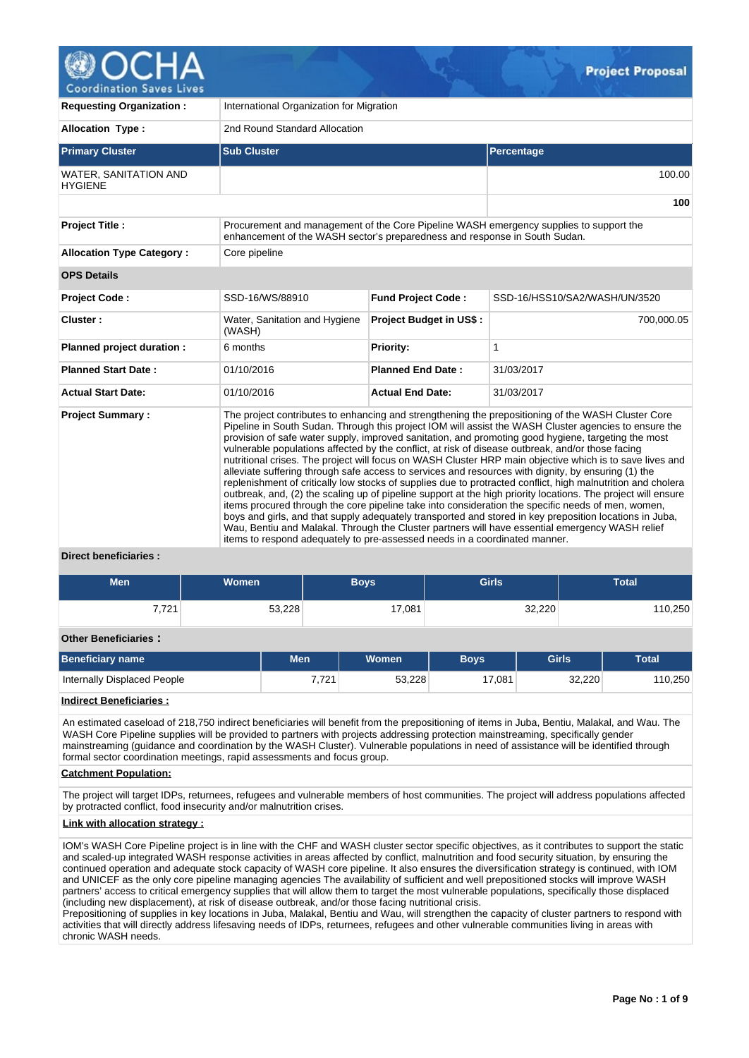

| <b>Requesting Organization:</b>         | International Organization for Migration                                                                                                                                                                                                                                                                                                                                                                                                                                                                                                                                                                                                                                                                                                                                                                                                                                                                                                                                                                                                                                                                                                                                                                                                                                      |                                                                                        |                               |  |  |  |  |  |
|-----------------------------------------|-------------------------------------------------------------------------------------------------------------------------------------------------------------------------------------------------------------------------------------------------------------------------------------------------------------------------------------------------------------------------------------------------------------------------------------------------------------------------------------------------------------------------------------------------------------------------------------------------------------------------------------------------------------------------------------------------------------------------------------------------------------------------------------------------------------------------------------------------------------------------------------------------------------------------------------------------------------------------------------------------------------------------------------------------------------------------------------------------------------------------------------------------------------------------------------------------------------------------------------------------------------------------------|----------------------------------------------------------------------------------------|-------------------------------|--|--|--|--|--|
| <b>Allocation Type:</b>                 | 2nd Round Standard Allocation                                                                                                                                                                                                                                                                                                                                                                                                                                                                                                                                                                                                                                                                                                                                                                                                                                                                                                                                                                                                                                                                                                                                                                                                                                                 |                                                                                        |                               |  |  |  |  |  |
| <b>Primary Cluster</b>                  | <b>Sub Cluster</b>                                                                                                                                                                                                                                                                                                                                                                                                                                                                                                                                                                                                                                                                                                                                                                                                                                                                                                                                                                                                                                                                                                                                                                                                                                                            |                                                                                        | Percentage                    |  |  |  |  |  |
| WATER, SANITATION AND<br><b>HYGIENE</b> |                                                                                                                                                                                                                                                                                                                                                                                                                                                                                                                                                                                                                                                                                                                                                                                                                                                                                                                                                                                                                                                                                                                                                                                                                                                                               |                                                                                        | 100.00                        |  |  |  |  |  |
|                                         |                                                                                                                                                                                                                                                                                                                                                                                                                                                                                                                                                                                                                                                                                                                                                                                                                                                                                                                                                                                                                                                                                                                                                                                                                                                                               |                                                                                        | 100                           |  |  |  |  |  |
| <b>Project Title:</b>                   | enhancement of the WASH sector's preparedness and response in South Sudan.                                                                                                                                                                                                                                                                                                                                                                                                                                                                                                                                                                                                                                                                                                                                                                                                                                                                                                                                                                                                                                                                                                                                                                                                    | Procurement and management of the Core Pipeline WASH emergency supplies to support the |                               |  |  |  |  |  |
| <b>Allocation Type Category:</b>        | Core pipeline                                                                                                                                                                                                                                                                                                                                                                                                                                                                                                                                                                                                                                                                                                                                                                                                                                                                                                                                                                                                                                                                                                                                                                                                                                                                 |                                                                                        |                               |  |  |  |  |  |
| <b>OPS Details</b>                      |                                                                                                                                                                                                                                                                                                                                                                                                                                                                                                                                                                                                                                                                                                                                                                                                                                                                                                                                                                                                                                                                                                                                                                                                                                                                               |                                                                                        |                               |  |  |  |  |  |
| <b>Project Code:</b>                    | SSD-16/WS/88910                                                                                                                                                                                                                                                                                                                                                                                                                                                                                                                                                                                                                                                                                                                                                                                                                                                                                                                                                                                                                                                                                                                                                                                                                                                               | <b>Fund Project Code:</b>                                                              | SSD-16/HSS10/SA2/WASH/UN/3520 |  |  |  |  |  |
| Cluster:                                | Water, Sanitation and Hygiene<br>(WASH)                                                                                                                                                                                                                                                                                                                                                                                                                                                                                                                                                                                                                                                                                                                                                                                                                                                                                                                                                                                                                                                                                                                                                                                                                                       | <b>Project Budget in US\$:</b>                                                         | 700,000.05                    |  |  |  |  |  |
| Planned project duration :              | 6 months                                                                                                                                                                                                                                                                                                                                                                                                                                                                                                                                                                                                                                                                                                                                                                                                                                                                                                                                                                                                                                                                                                                                                                                                                                                                      | Priority:                                                                              | 1                             |  |  |  |  |  |
| <b>Planned Start Date:</b>              | 01/10/2016                                                                                                                                                                                                                                                                                                                                                                                                                                                                                                                                                                                                                                                                                                                                                                                                                                                                                                                                                                                                                                                                                                                                                                                                                                                                    | <b>Planned End Date:</b>                                                               | 31/03/2017                    |  |  |  |  |  |
| <b>Actual Start Date:</b>               | 01/10/2016                                                                                                                                                                                                                                                                                                                                                                                                                                                                                                                                                                                                                                                                                                                                                                                                                                                                                                                                                                                                                                                                                                                                                                                                                                                                    | <b>Actual End Date:</b>                                                                | 31/03/2017                    |  |  |  |  |  |
| <b>Project Summary:</b>                 | The project contributes to enhancing and strengthening the prepositioning of the WASH Cluster Core<br>Pipeline in South Sudan. Through this project IOM will assist the WASH Cluster agencies to ensure the<br>provision of safe water supply, improved sanitation, and promoting good hygiene, targeting the most<br>vulnerable populations affected by the conflict, at risk of disease outbreak, and/or those facing<br>nutritional crises. The project will focus on WASH Cluster HRP main objective which is to save lives and<br>alleviate suffering through safe access to services and resources with dignity, by ensuring (1) the<br>replenishment of critically low stocks of supplies due to protracted conflict, high malnutrition and cholera<br>outbreak, and, (2) the scaling up of pipeline support at the high priority locations. The project will ensure<br>items procured through the core pipeline take into consideration the specific needs of men, women,<br>boys and girls, and that supply adequately transported and stored in key preposition locations in Juba,<br>Wau, Bentiu and Malakal. Through the Cluster partners will have essential emergency WASH relief<br>items to respond adequately to pre-assessed needs in a coordinated manner. |                                                                                        |                               |  |  |  |  |  |
| <b>Direct beneficiaries:</b>            |                                                                                                                                                                                                                                                                                                                                                                                                                                                                                                                                                                                                                                                                                                                                                                                                                                                                                                                                                                                                                                                                                                                                                                                                                                                                               |                                                                                        |                               |  |  |  |  |  |

# **Men Women Boys Girls Total** 7,721 53,228 53,228 17,081 32,220 53,228 **Other Beneficiaries : Beneficiary name Men Women Boys Girls Total** Internally Displaced People 7,721 53,228 17,081 32,220 110,250

**Indirect Beneficiaries :**

An estimated caseload of 218,750 indirect beneficiaries will benefit from the prepositioning of items in Juba, Bentiu, Malakal, and Wau. The WASH Core Pipeline supplies will be provided to partners with projects addressing protection mainstreaming, specifically gender mainstreaming (guidance and coordination by the WASH Cluster). Vulnerable populations in need of assistance will be identified through formal sector coordination meetings, rapid assessments and focus group.

# **Catchment Population:**

The project will target IDPs, returnees, refugees and vulnerable members of host communities. The project will address populations affected by protracted conflict, food insecurity and/or malnutrition crises.

# **Link with allocation strategy :**

IOM's WASH Core Pipeline project is in line with the CHF and WASH cluster sector specific objectives, as it contributes to support the static and scaled-up integrated WASH response activities in areas affected by conflict, malnutrition and food security situation, by ensuring the continued operation and adequate stock capacity of WASH core pipeline. It also ensures the diversification strategy is continued, with IOM and UNICEF as the only core pipeline managing agencies The availability of sufficient and well prepositioned stocks will improve WASH partners' access to critical emergency supplies that will allow them to target the most vulnerable populations, specifically those displaced (including new displacement), at risk of disease outbreak, and/or those facing nutritional crisis.

Prepositioning of supplies in key locations in Juba, Malakal, Bentiu and Wau, will strengthen the capacity of cluster partners to respond with activities that will directly address lifesaving needs of IDPs, returnees, refugees and other vulnerable communities living in areas with chronic WASH needs.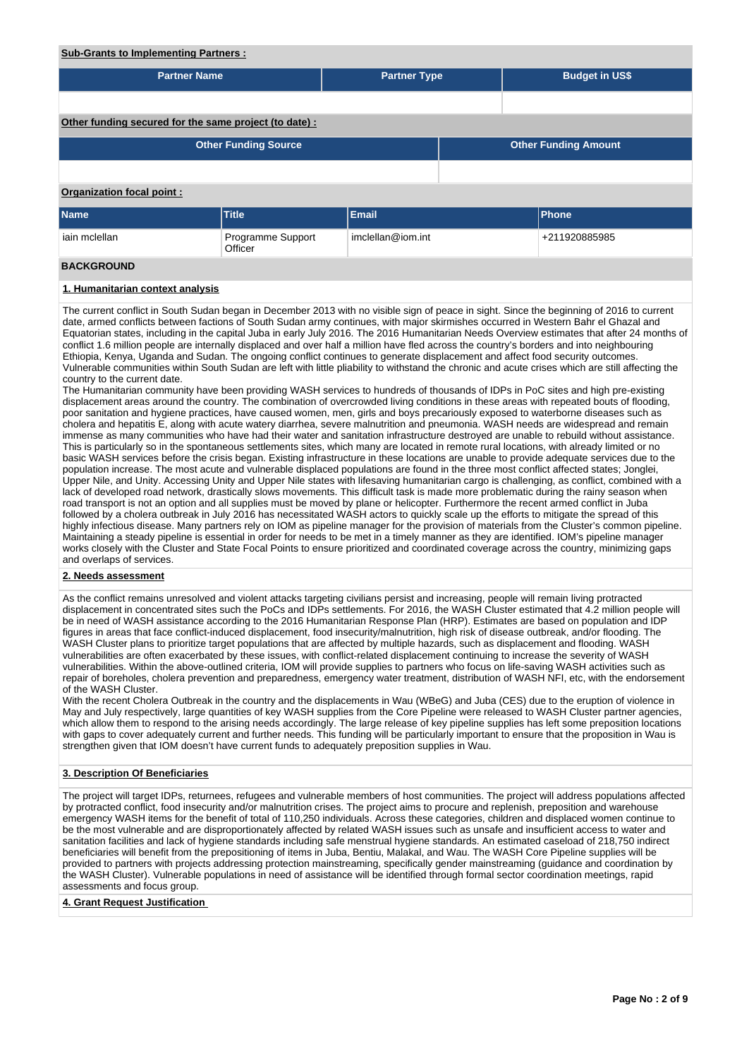| <b>Sub-Grants to Implementing Partners:</b>                                                                                                                                                                                                                                                                                                                                                                                                                                                                                                                                                                                                                                                                                                                                                                                                                                                                                                                                                                                                                                                                                                                                                                                                                                                                                                                                                                                                        |                              |                     |  |                                                                                                                                                                                                                                                                                                                                                                                                                                                                                                                                                                                                                                                                                                                                                                                                                                                                                                                                                                                                                                                                                                                                                                                                                                                                                                                                                                                                                                                                 |  |  |  |  |  |
|----------------------------------------------------------------------------------------------------------------------------------------------------------------------------------------------------------------------------------------------------------------------------------------------------------------------------------------------------------------------------------------------------------------------------------------------------------------------------------------------------------------------------------------------------------------------------------------------------------------------------------------------------------------------------------------------------------------------------------------------------------------------------------------------------------------------------------------------------------------------------------------------------------------------------------------------------------------------------------------------------------------------------------------------------------------------------------------------------------------------------------------------------------------------------------------------------------------------------------------------------------------------------------------------------------------------------------------------------------------------------------------------------------------------------------------------------|------------------------------|---------------------|--|-----------------------------------------------------------------------------------------------------------------------------------------------------------------------------------------------------------------------------------------------------------------------------------------------------------------------------------------------------------------------------------------------------------------------------------------------------------------------------------------------------------------------------------------------------------------------------------------------------------------------------------------------------------------------------------------------------------------------------------------------------------------------------------------------------------------------------------------------------------------------------------------------------------------------------------------------------------------------------------------------------------------------------------------------------------------------------------------------------------------------------------------------------------------------------------------------------------------------------------------------------------------------------------------------------------------------------------------------------------------------------------------------------------------------------------------------------------------|--|--|--|--|--|
| <b>Partner Name</b>                                                                                                                                                                                                                                                                                                                                                                                                                                                                                                                                                                                                                                                                                                                                                                                                                                                                                                                                                                                                                                                                                                                                                                                                                                                                                                                                                                                                                                |                              | <b>Partner Type</b> |  | <b>Budget in US\$</b>                                                                                                                                                                                                                                                                                                                                                                                                                                                                                                                                                                                                                                                                                                                                                                                                                                                                                                                                                                                                                                                                                                                                                                                                                                                                                                                                                                                                                                           |  |  |  |  |  |
|                                                                                                                                                                                                                                                                                                                                                                                                                                                                                                                                                                                                                                                                                                                                                                                                                                                                                                                                                                                                                                                                                                                                                                                                                                                                                                                                                                                                                                                    |                              |                     |  |                                                                                                                                                                                                                                                                                                                                                                                                                                                                                                                                                                                                                                                                                                                                                                                                                                                                                                                                                                                                                                                                                                                                                                                                                                                                                                                                                                                                                                                                 |  |  |  |  |  |
| Other funding secured for the same project (to date) :                                                                                                                                                                                                                                                                                                                                                                                                                                                                                                                                                                                                                                                                                                                                                                                                                                                                                                                                                                                                                                                                                                                                                                                                                                                                                                                                                                                             |                              |                     |  |                                                                                                                                                                                                                                                                                                                                                                                                                                                                                                                                                                                                                                                                                                                                                                                                                                                                                                                                                                                                                                                                                                                                                                                                                                                                                                                                                                                                                                                                 |  |  |  |  |  |
|                                                                                                                                                                                                                                                                                                                                                                                                                                                                                                                                                                                                                                                                                                                                                                                                                                                                                                                                                                                                                                                                                                                                                                                                                                                                                                                                                                                                                                                    | <b>Other Funding Source</b>  |                     |  | <b>Other Funding Amount</b>                                                                                                                                                                                                                                                                                                                                                                                                                                                                                                                                                                                                                                                                                                                                                                                                                                                                                                                                                                                                                                                                                                                                                                                                                                                                                                                                                                                                                                     |  |  |  |  |  |
|                                                                                                                                                                                                                                                                                                                                                                                                                                                                                                                                                                                                                                                                                                                                                                                                                                                                                                                                                                                                                                                                                                                                                                                                                                                                                                                                                                                                                                                    |                              |                     |  |                                                                                                                                                                                                                                                                                                                                                                                                                                                                                                                                                                                                                                                                                                                                                                                                                                                                                                                                                                                                                                                                                                                                                                                                                                                                                                                                                                                                                                                                 |  |  |  |  |  |
| Organization focal point:                                                                                                                                                                                                                                                                                                                                                                                                                                                                                                                                                                                                                                                                                                                                                                                                                                                                                                                                                                                                                                                                                                                                                                                                                                                                                                                                                                                                                          |                              |                     |  |                                                                                                                                                                                                                                                                                                                                                                                                                                                                                                                                                                                                                                                                                                                                                                                                                                                                                                                                                                                                                                                                                                                                                                                                                                                                                                                                                                                                                                                                 |  |  |  |  |  |
| <b>Name</b>                                                                                                                                                                                                                                                                                                                                                                                                                                                                                                                                                                                                                                                                                                                                                                                                                                                                                                                                                                                                                                                                                                                                                                                                                                                                                                                                                                                                                                        | <b>Title</b>                 | <b>Email</b>        |  | Phone                                                                                                                                                                                                                                                                                                                                                                                                                                                                                                                                                                                                                                                                                                                                                                                                                                                                                                                                                                                                                                                                                                                                                                                                                                                                                                                                                                                                                                                           |  |  |  |  |  |
| iain mclellan                                                                                                                                                                                                                                                                                                                                                                                                                                                                                                                                                                                                                                                                                                                                                                                                                                                                                                                                                                                                                                                                                                                                                                                                                                                                                                                                                                                                                                      | Programme Support<br>Officer | imclellan@iom.int   |  | +211920885985                                                                                                                                                                                                                                                                                                                                                                                                                                                                                                                                                                                                                                                                                                                                                                                                                                                                                                                                                                                                                                                                                                                                                                                                                                                                                                                                                                                                                                                   |  |  |  |  |  |
| <b>BACKGROUND</b>                                                                                                                                                                                                                                                                                                                                                                                                                                                                                                                                                                                                                                                                                                                                                                                                                                                                                                                                                                                                                                                                                                                                                                                                                                                                                                                                                                                                                                  |                              |                     |  |                                                                                                                                                                                                                                                                                                                                                                                                                                                                                                                                                                                                                                                                                                                                                                                                                                                                                                                                                                                                                                                                                                                                                                                                                                                                                                                                                                                                                                                                 |  |  |  |  |  |
| 1. Humanitarian context analysis                                                                                                                                                                                                                                                                                                                                                                                                                                                                                                                                                                                                                                                                                                                                                                                                                                                                                                                                                                                                                                                                                                                                                                                                                                                                                                                                                                                                                   |                              |                     |  |                                                                                                                                                                                                                                                                                                                                                                                                                                                                                                                                                                                                                                                                                                                                                                                                                                                                                                                                                                                                                                                                                                                                                                                                                                                                                                                                                                                                                                                                 |  |  |  |  |  |
| date, armed conflicts between factions of South Sudan army continues, with major skirmishes occurred in Western Bahr el Ghazal and<br>conflict 1.6 million people are internally displaced and over half a million have fled across the country's borders and into neighbouring<br>Ethiopia, Kenya, Uganda and Sudan. The ongoing conflict continues to generate displacement and affect food security outcomes.<br>country to the current date.<br>The Humanitarian community have been providing WASH services to hundreds of thousands of IDPs in PoC sites and high pre-existing<br>poor sanitation and hygiene practices, have caused women, men, girls and boys precariously exposed to waterborne diseases such as<br>This is particularly so in the spontaneous settlements sites, which many are located in remote rural locations, with already limited or no<br>population increase. The most acute and vulnerable displaced populations are found in the three most conflict affected states; Jonglei,<br>road transport is not an option and all supplies must be moved by plane or helicopter. Furthermore the recent armed conflict in Juba<br>followed by a cholera outbreak in July 2016 has necessitated WASH actors to quickly scale up the efforts to mitigate the spread of this<br>Maintaining a steady pipeline is essential in order for needs to be met in a timely manner as they are identified. IOM's pipeline manager |                              |                     |  | The current conflict in South Sudan began in December 2013 with no visible sign of peace in sight. Since the beginning of 2016 to current<br>Equatorian states, including in the capital Juba in early July 2016. The 2016 Humanitarian Needs Overview estimates that after 24 months of<br>Vulnerable communities within South Sudan are left with little pliability to withstand the chronic and acute crises which are still affecting the<br>displacement areas around the country. The combination of overcrowded living conditions in these areas with repeated bouts of flooding,<br>cholera and hepatitis E, along with acute watery diarrhea, severe malnutrition and pneumonia. WASH needs are widespread and remain<br>immense as many communities who have had their water and sanitation infrastructure destroyed are unable to rebuild without assistance.<br>basic WASH services before the crisis began. Existing infrastructure in these locations are unable to provide adequate services due to the<br>Upper Nile, and Unity. Accessing Unity and Upper Nile states with lifesaving humanitarian cargo is challenging, as conflict, combined with a<br>lack of developed road network, drastically slows movements. This difficult task is made more problematic during the rainy season when<br>highly infectious disease. Many partners rely on IOM as pipeline manager for the provision of materials from the Cluster's common pipeline. |  |  |  |  |  |

and overlaps of services.

# **2. Needs assessment**

As the conflict remains unresolved and violent attacks targeting civilians persist and increasing, people will remain living protracted displacement in concentrated sites such the PoCs and IDPs settlements. For 2016, the WASH Cluster estimated that 4.2 million people will be in need of WASH assistance according to the 2016 Humanitarian Response Plan (HRP). Estimates are based on population and IDP figures in areas that face conflict-induced displacement, food insecurity/malnutrition, high risk of disease outbreak, and/or flooding. The WASH Cluster plans to prioritize target populations that are affected by multiple hazards, such as displacement and flooding. WASH vulnerabilities are often exacerbated by these issues, with conflict-related displacement continuing to increase the severity of WASH vulnerabilities. Within the above-outlined criteria, IOM will provide supplies to partners who focus on life-saving WASH activities such as repair of boreholes, cholera prevention and preparedness, emergency water treatment, distribution of WASH NFI, etc, with the endorsement of the WASH Cluster.

With the recent Cholera Outbreak in the country and the displacements in Wau (WBeG) and Juba (CES) due to the eruption of violence in May and July respectively, large quantities of key WASH supplies from the Core Pipeline were released to WASH Cluster partner agencies, which allow them to respond to the arising needs accordingly. The large release of key pipeline supplies has left some preposition locations with gaps to cover adequately current and further needs. This funding will be particularly important to ensure that the proposition in Wau is strengthen given that IOM doesn't have current funds to adequately preposition supplies in Wau.

# **3. Description Of Beneficiaries**

The project will target IDPs, returnees, refugees and vulnerable members of host communities. The project will address populations affected by protracted conflict, food insecurity and/or malnutrition crises. The project aims to procure and replenish, preposition and warehouse emergency WASH items for the benefit of total of 110,250 individuals. Across these categories, children and displaced women continue to be the most vulnerable and are disproportionately affected by related WASH issues such as unsafe and insufficient access to water and sanitation facilities and lack of hygiene standards including safe menstrual hygiene standards. An estimated caseload of 218,750 indirect beneficiaries will benefit from the prepositioning of items in Juba, Bentiu, Malakal, and Wau. The WASH Core Pipeline supplies will be provided to partners with projects addressing protection mainstreaming, specifically gender mainstreaming (guidance and coordination by the WASH Cluster). Vulnerable populations in need of assistance will be identified through formal sector coordination meetings, rapid assessments and focus group.

# **4. Grant Request Justification**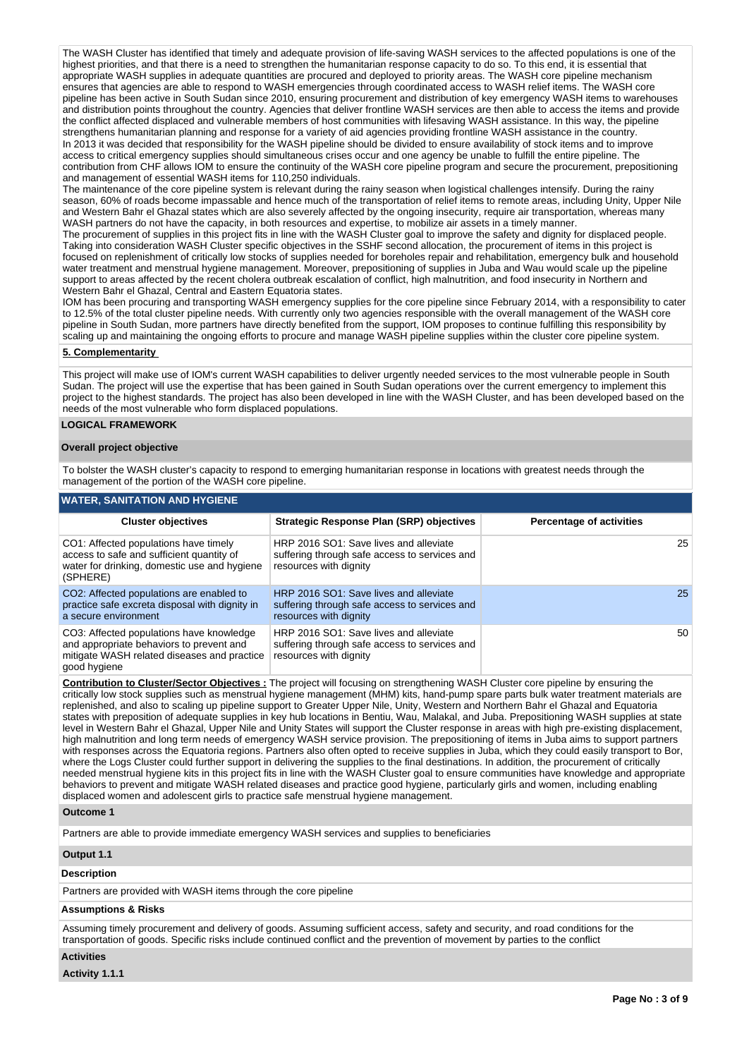The WASH Cluster has identified that timely and adequate provision of life-saving WASH services to the affected populations is one of the highest priorities, and that there is a need to strengthen the humanitarian response capacity to do so. To this end, it is essential that appropriate WASH supplies in adequate quantities are procured and deployed to priority areas. The WASH core pipeline mechanism ensures that agencies are able to respond to WASH emergencies through coordinated access to WASH relief items. The WASH core pipeline has been active in South Sudan since 2010, ensuring procurement and distribution of key emergency WASH items to warehouses and distribution points throughout the country. Agencies that deliver frontline WASH services are then able to access the items and provide the conflict affected displaced and vulnerable members of host communities with lifesaving WASH assistance. In this way, the pipeline strengthens humanitarian planning and response for a variety of aid agencies providing frontline WASH assistance in the country. In 2013 it was decided that responsibility for the WASH pipeline should be divided to ensure availability of stock items and to improve access to critical emergency supplies should simultaneous crises occur and one agency be unable to fulfill the entire pipeline. The contribution from CHF allows IOM to ensure the continuity of the WASH core pipeline program and secure the procurement, prepositioning and management of essential WASH items for 110,250 individuals.

The maintenance of the core pipeline system is relevant during the rainy season when logistical challenges intensify. During the rainy season, 60% of roads become impassable and hence much of the transportation of relief items to remote areas, including Unity, Upper Nile and Western Bahr el Ghazal states which are also severely affected by the ongoing insecurity, require air transportation, whereas many WASH partners do not have the capacity, in both resources and expertise, to mobilize air assets in a timely manner.

The procurement of supplies in this project fits in line with the WASH Cluster goal to improve the safety and dignity for displaced people. Taking into consideration WASH Cluster specific objectives in the SSHF second allocation, the procurement of items in this project is focused on replenishment of critically low stocks of supplies needed for boreholes repair and rehabilitation, emergency bulk and household water treatment and menstrual hygiene management. Moreover, prepositioning of supplies in Juba and Wau would scale up the pipeline support to areas affected by the recent cholera outbreak escalation of conflict, high malnutrition, and food insecurity in Northern and Western Bahr el Ghazal, Central and Eastern Equatoria states.

IOM has been procuring and transporting WASH emergency supplies for the core pipeline since February 2014, with a responsibility to cater to 12.5% of the total cluster pipeline needs. With currently only two agencies responsible with the overall management of the WASH core pipeline in South Sudan, more partners have directly benefited from the support, IOM proposes to continue fulfilling this responsibility by scaling up and maintaining the ongoing efforts to procure and manage WASH pipeline supplies within the cluster core pipeline system.

### **5. Complementarity**

This project will make use of IOM's current WASH capabilities to deliver urgently needed services to the most vulnerable people in South Sudan. The project will use the expertise that has been gained in South Sudan operations over the current emergency to implement this project to the highest standards. The project has also been developed in line with the WASH Cluster, and has been developed based on the needs of the most vulnerable who form displaced populations.

# **LOGICAL FRAMEWORK**

### **Overall project objective**

To bolster the WASH cluster's capacity to respond to emerging humanitarian response in locations with greatest needs through the management of the portion of the WASH core pipeline.

# **WATER, SANITATION AND HYGIENE**

| <b>Cluster objectives</b>                                                                                                                           | <b>Strategic Response Plan (SRP) objectives</b>                                                                   | <b>Percentage of activities</b> |  |  |  |  |  |  |
|-----------------------------------------------------------------------------------------------------------------------------------------------------|-------------------------------------------------------------------------------------------------------------------|---------------------------------|--|--|--|--|--|--|
| CO1: Affected populations have timely<br>access to safe and sufficient quantity of<br>water for drinking, domestic use and hygiene<br>(SPHERE)      | HRP 2016 SO1: Save lives and alleviate<br>suffering through safe access to services and<br>resources with dignity | 25 <sub>1</sub>                 |  |  |  |  |  |  |
| CO2: Affected populations are enabled to<br>practice safe excreta disposal with dignity in<br>a secure environment                                  | HRP 2016 SO1: Save lives and alleviate<br>suffering through safe access to services and<br>resources with dignity | 25                              |  |  |  |  |  |  |
| CO3: Affected populations have knowledge<br>and appropriate behaviors to prevent and<br>mitigate WASH related diseases and practice<br>good hygiene | HRP 2016 SO1: Save lives and alleviate<br>suffering through safe access to services and<br>resources with dignity | 50                              |  |  |  |  |  |  |

**Contribution to Cluster/Sector Objectives :** The project will focusing on strengthening WASH Cluster core pipeline by ensuring the critically low stock supplies such as menstrual hygiene management (MHM) kits, hand-pump spare parts bulk water treatment materials are replenished, and also to scaling up pipeline support to Greater Upper Nile, Unity, Western and Northern Bahr el Ghazal and Equatoria states with preposition of adequate supplies in key hub locations in Bentiu, Wau, Malakal, and Juba. Prepositioning WASH supplies at state level in Western Bahr el Ghazal, Upper Nile and Unity States will support the Cluster response in areas with high pre-existing displacement, high malnutrition and long term needs of emergency WASH service provision. The prepositioning of items in Juba aims to support partners with responses across the Equatoria regions. Partners also often opted to receive supplies in Juba, which they could easily transport to Bor, where the Logs Cluster could further support in delivering the supplies to the final destinations. In addition, the procurement of critically needed menstrual hygiene kits in this project fits in line with the WASH Cluster goal to ensure communities have knowledge and appropriate behaviors to prevent and mitigate WASH related diseases and practice good hygiene, particularly girls and women, including enabling displaced women and adolescent girls to practice safe menstrual hygiene management.

#### **Outcome 1**

Partners are able to provide immediate emergency WASH services and supplies to beneficiaries

# **Output 1.1**

# **Description**

Partners are provided with WASH items through the core pipeline

# **Assumptions & Risks**

Assuming timely procurement and delivery of goods. Assuming sufficient access, safety and security, and road conditions for the transportation of goods. Specific risks include continued conflict and the prevention of movement by parties to the conflict

# **Activities**

**Activity 1.1.1**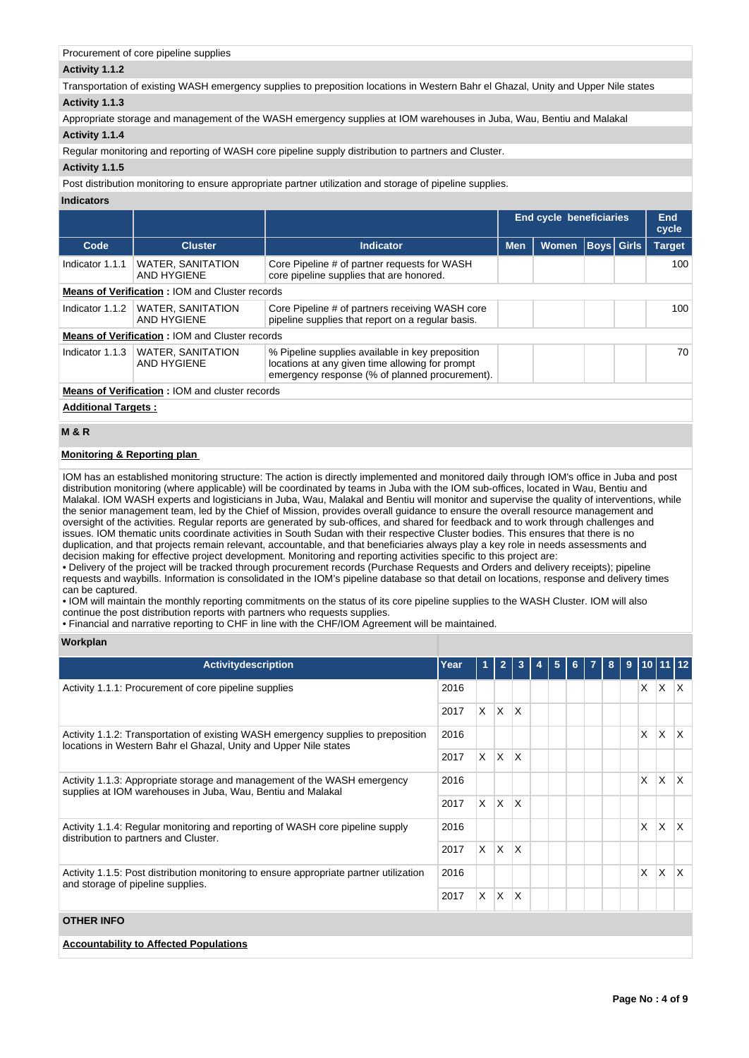# Procurement of core pipeline supplies

# **Activity 1.1.2**

Transportation of existing WASH emergency supplies to preposition locations in Western Bahr el Ghazal, Unity and Upper Nile states **Activity 1.1.3** 

Appropriate storage and management of the WASH emergency supplies at IOM warehouses in Juba, Wau, Bentiu and Malakal

# **Activity 1.1.4**

Regular monitoring and reporting of WASH core pipeline supply distribution to partners and Cluster.

# **Activity 1.1.5**

Post distribution monitoring to ensure appropriate partner utilization and storage of pipeline supplies.

# **Indicators**

|                                                       |                                                       |                                                                                                                                                       |            | End cycle beneficiaries |                   |  | End<br>cycle  |  |  |
|-------------------------------------------------------|-------------------------------------------------------|-------------------------------------------------------------------------------------------------------------------------------------------------------|------------|-------------------------|-------------------|--|---------------|--|--|
| Code                                                  | <b>Cluster</b>                                        | Indicator                                                                                                                                             | <b>Men</b> | <b>Women</b>            | <b>Boys Girls</b> |  | <b>Target</b> |  |  |
| Indicator 1.1.1                                       | <b>WATER, SANITATION</b><br>AND HYGIENE               | Core Pipeline # of partner requests for WASH<br>core pipeline supplies that are honored.                                                              |            |                         |                   |  | 100           |  |  |
| <b>Means of Verification: IOM and Cluster records</b> |                                                       |                                                                                                                                                       |            |                         |                   |  |               |  |  |
| Indicator 1.1.2                                       | <b>WATER, SANITATION</b><br>AND HYGIENE               | Core Pipeline # of partners receiving WASH core<br>pipeline supplies that report on a regular basis.                                                  |            |                         |                   |  | 100           |  |  |
|                                                       | <b>Means of Verification: IOM and Cluster records</b> |                                                                                                                                                       |            |                         |                   |  |               |  |  |
| Indicator 1.1.3                                       | <b>WATER, SANITATION</b><br>AND HYGIENE               | % Pipeline supplies available in key preposition<br>locations at any given time allowing for prompt<br>emergency response (% of planned procurement). |            |                         |                   |  | 70            |  |  |
|                                                       | <b>Means of Verification: IOM and cluster records</b> |                                                                                                                                                       |            |                         |                   |  |               |  |  |
| Additional Targets                                    |                                                       |                                                                                                                                                       |            |                         |                   |  |               |  |  |

**Additional Targets :**

# **M & R**

# **Monitoring & Reporting plan**

IOM has an established monitoring structure: The action is directly implemented and monitored daily through IOM's office in Juba and post distribution monitoring (where applicable) will be coordinated by teams in Juba with the IOM sub-offices, located in Wau, Bentiu and Malakal. IOM WASH experts and logisticians in Juba, Wau, Malakal and Bentiu will monitor and supervise the quality of interventions, while the senior management team, led by the Chief of Mission, provides overall guidance to ensure the overall resource management and oversight of the activities. Regular reports are generated by sub-offices, and shared for feedback and to work through challenges and issues. IOM thematic units coordinate activities in South Sudan with their respective Cluster bodies. This ensures that there is no duplication, and that projects remain relevant, accountable, and that beneficiaries always play a key role in needs assessments and decision making for effective project development. Monitoring and reporting activities specific to this project are:

• Delivery of the project will be tracked through procurement records (Purchase Requests and Orders and delivery receipts); pipeline requests and waybills. Information is consolidated in the IOM's pipeline database so that detail on locations, response and delivery times can be captured.

• IOM will maintain the monthly reporting commitments on the status of its core pipeline supplies to the WASH Cluster. IOM will also continue the post distribution reports with partners who requests supplies.

• Financial and narrative reporting to CHF in line with the CHF/IOM Agreement will be maintained.

# **Workplan**

| <b>Activitydescription</b>                                                                                                              | Year |    | $\overline{2}$ | 3            | 5 |  | 8 | 9 | 10   11  |          |                         |
|-----------------------------------------------------------------------------------------------------------------------------------------|------|----|----------------|--------------|---|--|---|---|----------|----------|-------------------------|
| Activity 1.1.1: Procurement of core pipeline supplies                                                                                   | 2016 |    |                |              |   |  |   |   | X        | X.       | $\mathsf{I} \mathsf{X}$ |
|                                                                                                                                         | 2017 | X. | $\mathsf{X}$   | $\mathsf{X}$ |   |  |   |   |          |          |                         |
| Activity 1.1.2: Transportation of existing WASH emergency supplies to preposition                                                       | 2016 |    |                |              |   |  |   |   | X        | X.       | $\mathsf{I} \mathsf{X}$ |
| locations in Western Bahr el Ghazal, Unity and Upper Nile states                                                                        |      |    | IX.            | $\mathsf{X}$ |   |  |   |   |          |          |                         |
| Activity 1.1.3: Appropriate storage and management of the WASH emergency<br>supplies at IOM warehouses in Juba, Wau, Bentiu and Malakal |      |    |                |              |   |  |   |   | $\times$ | X.       | $\mathsf{I} \mathsf{X}$ |
|                                                                                                                                         | 2017 |    | $X$ $X$        | $\mathsf{X}$ |   |  |   |   |          |          |                         |
| Activity 1.1.4: Regular monitoring and reporting of WASH core pipeline supply<br>distribution to partners and Cluster.                  | 2016 |    |                |              |   |  |   |   | X        | $\times$ | $\mathsf{I}\mathsf{X}$  |
|                                                                                                                                         | 2017 | X. | ΙX.            | ΙX.          |   |  |   |   |          |          |                         |
| Activity 1.1.5: Post distribution monitoring to ensure appropriate partner utilization<br>and storage of pipeline supplies.             | 2016 |    |                |              |   |  |   |   | X        | $\times$ | ΙX                      |
|                                                                                                                                         | 2017 | X. | ΙX.            | ΙX           |   |  |   |   |          |          |                         |
| <b>OTHER INFO</b>                                                                                                                       |      |    |                |              |   |  |   |   |          |          |                         |
| <b>Accountability to Affected Populations</b>                                                                                           |      |    |                |              |   |  |   |   |          |          |                         |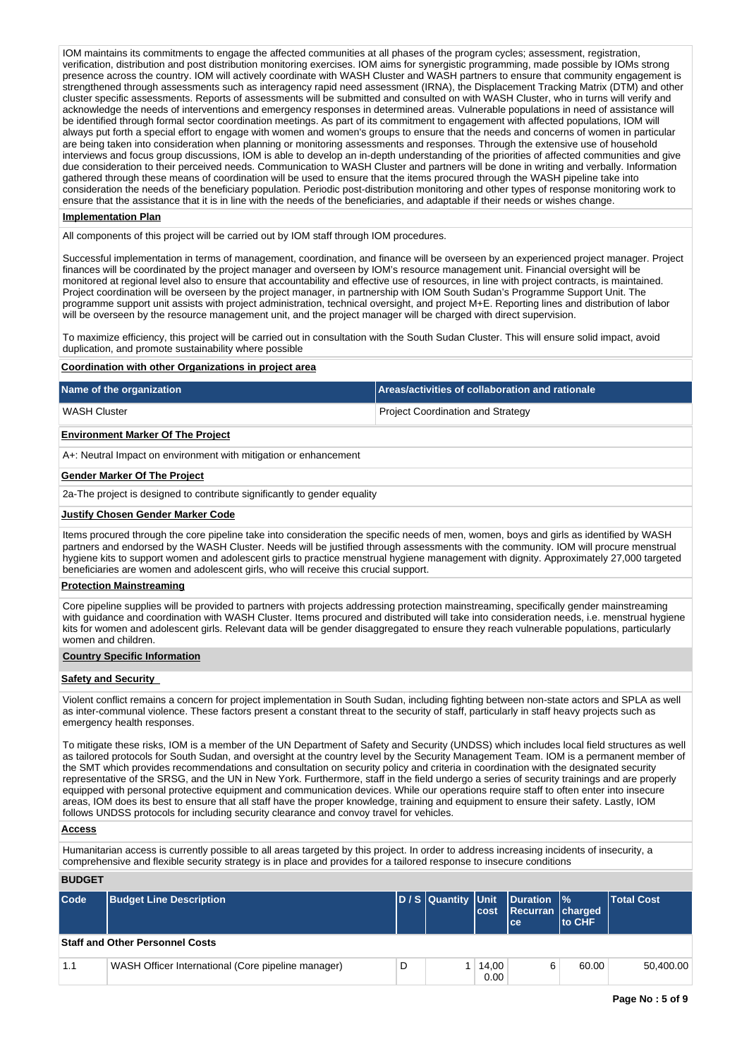IOM maintains its commitments to engage the affected communities at all phases of the program cycles; assessment, registration, verification, distribution and post distribution monitoring exercises. IOM aims for synergistic programming, made possible by IOMs strong presence across the country. IOM will actively coordinate with WASH Cluster and WASH partners to ensure that community engagement is strengthened through assessments such as interagency rapid need assessment (IRNA), the Displacement Tracking Matrix (DTM) and other cluster specific assessments. Reports of assessments will be submitted and consulted on with WASH Cluster, who in turns will verify and acknowledge the needs of interventions and emergency responses in determined areas. Vulnerable populations in need of assistance will be identified through formal sector coordination meetings. As part of its commitment to engagement with affected populations, IOM will always put forth a special effort to engage with women and women's groups to ensure that the needs and concerns of women in particular are being taken into consideration when planning or monitoring assessments and responses. Through the extensive use of household interviews and focus group discussions, IOM is able to develop an in-depth understanding of the priorities of affected communities and give due consideration to their perceived needs. Communication to WASH Cluster and partners will be done in writing and verbally. Information gathered through these means of coordination will be used to ensure that the items procured through the WASH pipeline take into consideration the needs of the beneficiary population. Periodic post-distribution monitoring and other types of response monitoring work to ensure that the assistance that it is in line with the needs of the beneficiaries, and adaptable if their needs or wishes change.

#### **Implementation Plan**

All components of this project will be carried out by IOM staff through IOM procedures.

Successful implementation in terms of management, coordination, and finance will be overseen by an experienced project manager. Project finances will be coordinated by the project manager and overseen by IOM's resource management unit. Financial oversight will be monitored at regional level also to ensure that accountability and effective use of resources, in line with project contracts, is maintained. Project coordination will be overseen by the project manager, in partnership with IOM South Sudan's Programme Support Unit. The programme support unit assists with project administration, technical oversight, and project M+E. Reporting lines and distribution of labor will be overseen by the resource management unit, and the project manager will be charged with direct supervision.

To maximize efficiency, this project will be carried out in consultation with the South Sudan Cluster. This will ensure solid impact, avoid duplication, and promote sustainability where possible

# **Coordination with other Organizations in project area**

|                                                                                                                                                                                                                                                                                                                                                                                                                                                                                                                                                                                                                                                                                                                                                                                                                                                                                                                                                               | <b>Name of the organization</b><br>Areas/activities of collaboration and rationale                                                                                                                                                                                                                                                                                                                                                                                                                                  |                                          |              |                 |                                          |                   |  |  |  |  |  |
|---------------------------------------------------------------------------------------------------------------------------------------------------------------------------------------------------------------------------------------------------------------------------------------------------------------------------------------------------------------------------------------------------------------------------------------------------------------------------------------------------------------------------------------------------------------------------------------------------------------------------------------------------------------------------------------------------------------------------------------------------------------------------------------------------------------------------------------------------------------------------------------------------------------------------------------------------------------|---------------------------------------------------------------------------------------------------------------------------------------------------------------------------------------------------------------------------------------------------------------------------------------------------------------------------------------------------------------------------------------------------------------------------------------------------------------------------------------------------------------------|------------------------------------------|--------------|-----------------|------------------------------------------|-------------------|--|--|--|--|--|
| <b>WASH Cluster</b>                                                                                                                                                                                                                                                                                                                                                                                                                                                                                                                                                                                                                                                                                                                                                                                                                                                                                                                                           |                                                                                                                                                                                                                                                                                                                                                                                                                                                                                                                     | <b>Project Coordination and Strategy</b> |              |                 |                                          |                   |  |  |  |  |  |
| <b>Environment Marker Of The Project</b>                                                                                                                                                                                                                                                                                                                                                                                                                                                                                                                                                                                                                                                                                                                                                                                                                                                                                                                      |                                                                                                                                                                                                                                                                                                                                                                                                                                                                                                                     |                                          |              |                 |                                          |                   |  |  |  |  |  |
|                                                                                                                                                                                                                                                                                                                                                                                                                                                                                                                                                                                                                                                                                                                                                                                                                                                                                                                                                               | A+: Neutral Impact on environment with mitigation or enhancement                                                                                                                                                                                                                                                                                                                                                                                                                                                    |                                          |              |                 |                                          |                   |  |  |  |  |  |
|                                                                                                                                                                                                                                                                                                                                                                                                                                                                                                                                                                                                                                                                                                                                                                                                                                                                                                                                                               | <b>Gender Marker Of The Project</b>                                                                                                                                                                                                                                                                                                                                                                                                                                                                                 |                                          |              |                 |                                          |                   |  |  |  |  |  |
|                                                                                                                                                                                                                                                                                                                                                                                                                                                                                                                                                                                                                                                                                                                                                                                                                                                                                                                                                               | 2a-The project is designed to contribute significantly to gender equality                                                                                                                                                                                                                                                                                                                                                                                                                                           |                                          |              |                 |                                          |                   |  |  |  |  |  |
|                                                                                                                                                                                                                                                                                                                                                                                                                                                                                                                                                                                                                                                                                                                                                                                                                                                                                                                                                               | <b>Justify Chosen Gender Marker Code</b>                                                                                                                                                                                                                                                                                                                                                                                                                                                                            |                                          |              |                 |                                          |                   |  |  |  |  |  |
|                                                                                                                                                                                                                                                                                                                                                                                                                                                                                                                                                                                                                                                                                                                                                                                                                                                                                                                                                               | Items procured through the core pipeline take into consideration the specific needs of men, women, boys and girls as identified by WASH<br>partners and endorsed by the WASH Cluster. Needs will be justified through assessments with the community. IOM will procure menstrual<br>hygiene kits to support women and adolescent girls to practice menstrual hygiene management with dignity. Approximately 27,000 targeted<br>beneficiaries are women and adolescent girls, who will receive this crucial support. |                                          |              |                 |                                          |                   |  |  |  |  |  |
|                                                                                                                                                                                                                                                                                                                                                                                                                                                                                                                                                                                                                                                                                                                                                                                                                                                                                                                                                               | <b>Protection Mainstreaming</b>                                                                                                                                                                                                                                                                                                                                                                                                                                                                                     |                                          |              |                 |                                          |                   |  |  |  |  |  |
|                                                                                                                                                                                                                                                                                                                                                                                                                                                                                                                                                                                                                                                                                                                                                                                                                                                                                                                                                               | Core pipeline supplies will be provided to partners with projects addressing protection mainstreaming, specifically gender mainstreaming<br>with guidance and coordination with WASH Cluster. Items procured and distributed will take into consideration needs, i.e. menstrual hygiene<br>kits for women and adolescent girls. Relevant data will be gender disaggregated to ensure they reach vulnerable populations, particularly<br>women and children.                                                         |                                          |              |                 |                                          |                   |  |  |  |  |  |
|                                                                                                                                                                                                                                                                                                                                                                                                                                                                                                                                                                                                                                                                                                                                                                                                                                                                                                                                                               | <b>Country Specific Information</b>                                                                                                                                                                                                                                                                                                                                                                                                                                                                                 |                                          |              |                 |                                          |                   |  |  |  |  |  |
|                                                                                                                                                                                                                                                                                                                                                                                                                                                                                                                                                                                                                                                                                                                                                                                                                                                                                                                                                               | <b>Safety and Security</b>                                                                                                                                                                                                                                                                                                                                                                                                                                                                                          |                                          |              |                 |                                          |                   |  |  |  |  |  |
|                                                                                                                                                                                                                                                                                                                                                                                                                                                                                                                                                                                                                                                                                                                                                                                                                                                                                                                                                               | Violent conflict remains a concern for project implementation in South Sudan, including fighting between non-state actors and SPLA as well<br>as inter-communal violence. These factors present a constant threat to the security of staff, particularly in staff heavy projects such as<br>emergency health responses.                                                                                                                                                                                             |                                          |              |                 |                                          |                   |  |  |  |  |  |
| To mitigate these risks, IOM is a member of the UN Department of Safety and Security (UNDSS) which includes local field structures as well<br>as tailored protocols for South Sudan, and oversight at the country level by the Security Management Team. IOM is a permanent member of<br>the SMT which provides recommendations and consultation on security policy and criteria in coordination with the designated security<br>representative of the SRSG, and the UN in New York. Furthermore, staff in the field undergo a series of security trainings and are properly<br>equipped with personal protective equipment and communication devices. While our operations require staff to often enter into insecure<br>areas, IOM does its best to ensure that all staff have the proper knowledge, training and equipment to ensure their safety. Lastly, IOM<br>follows UNDSS protocols for including security clearance and convoy travel for vehicles. |                                                                                                                                                                                                                                                                                                                                                                                                                                                                                                                     |                                          |              |                 |                                          |                   |  |  |  |  |  |
| <b>Access</b>                                                                                                                                                                                                                                                                                                                                                                                                                                                                                                                                                                                                                                                                                                                                                                                                                                                                                                                                                 |                                                                                                                                                                                                                                                                                                                                                                                                                                                                                                                     |                                          |              |                 |                                          |                   |  |  |  |  |  |
|                                                                                                                                                                                                                                                                                                                                                                                                                                                                                                                                                                                                                                                                                                                                                                                                                                                                                                                                                               | Humanitarian access is currently possible to all areas targeted by this project. In order to address increasing incidents of insecurity, a<br>comprehensive and flexible security strategy is in place and provides for a tailored response to insecure conditions                                                                                                                                                                                                                                                  |                                          |              |                 |                                          |                   |  |  |  |  |  |
| <b>BUDGET</b>                                                                                                                                                                                                                                                                                                                                                                                                                                                                                                                                                                                                                                                                                                                                                                                                                                                                                                                                                 |                                                                                                                                                                                                                                                                                                                                                                                                                                                                                                                     |                                          |              |                 |                                          |                   |  |  |  |  |  |
| Code                                                                                                                                                                                                                                                                                                                                                                                                                                                                                                                                                                                                                                                                                                                                                                                                                                                                                                                                                          | <b>Budget Line Description</b>                                                                                                                                                                                                                                                                                                                                                                                                                                                                                      | D / S Quantity                           | Unit<br>cost | <b>Duration</b> | $\frac{9}{6}$<br><b>Recurran charged</b> | <b>Total Cost</b> |  |  |  |  |  |

|     | <b>Staff and Other Personnel Costs</b>             |  |  |               |  |       |           |  |  |
|-----|----------------------------------------------------|--|--|---------------|--|-------|-----------|--|--|
| 1.1 | WASH Officer International (Core pipeline manager) |  |  | 14.00<br>0.00 |  | 60.00 | 50.400.00 |  |  |

**ce**

**to CHF**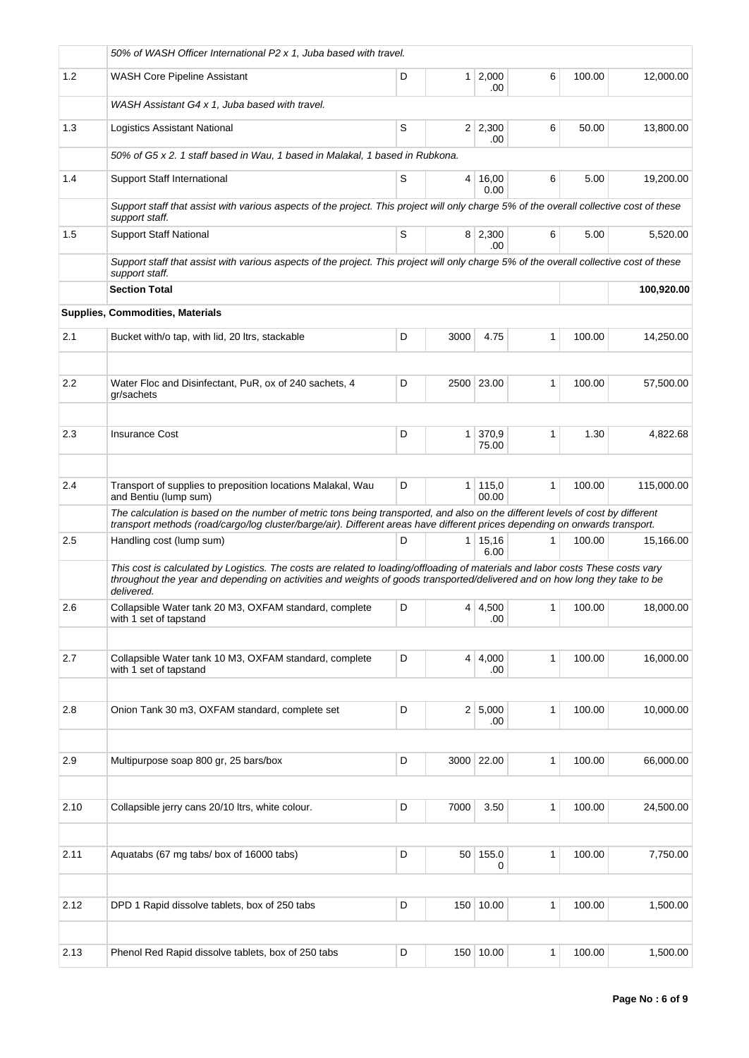|         | 50% of WASH Officer International P2 x 1, Juba based with travel.                                                                                                                                                                                                           |   |                |                        |              |        |            |
|---------|-----------------------------------------------------------------------------------------------------------------------------------------------------------------------------------------------------------------------------------------------------------------------------|---|----------------|------------------------|--------------|--------|------------|
| 1.2     | <b>WASH Core Pipeline Assistant</b>                                                                                                                                                                                                                                         | D |                | $1 \ 2,000$<br>.00     | 6            | 100.00 | 12,000.00  |
|         | WASH Assistant G4 x 1, Juba based with travel.                                                                                                                                                                                                                              |   |                |                        |              |        |            |
| 1.3     | Logistics Assistant National                                                                                                                                                                                                                                                | S |                | $2 \mid 2,300$<br>.00  | 6            | 50.00  | 13.800.00  |
|         | 50% of G5 x 2. 1 staff based in Wau, 1 based in Malakal, 1 based in Rubkona.                                                                                                                                                                                                |   |                |                        |              |        |            |
| 1.4     | Support Staff International                                                                                                                                                                                                                                                 | S | 4              | 16,00<br>0.00          | 6            | 5.00   | 19,200.00  |
|         | Support staff that assist with various aspects of the project. This project will only charge 5% of the overall collective cost of these<br>support staff.                                                                                                                   |   |                |                        |              |        |            |
| 1.5     | <b>Support Staff National</b>                                                                                                                                                                                                                                               | S |                | 8 2,300<br>.00         | 6            | 5.00   | 5,520.00   |
|         | Support staff that assist with various aspects of the project. This project will only charge 5% of the overall collective cost of these<br>support staff.                                                                                                                   |   |                |                        |              |        |            |
|         | <b>Section Total</b>                                                                                                                                                                                                                                                        |   |                |                        |              |        | 100,920.00 |
|         | <b>Supplies, Commodities, Materials</b>                                                                                                                                                                                                                                     |   |                |                        |              |        |            |
| 2.1     | Bucket with/o tap, with lid, 20 ltrs, stackable                                                                                                                                                                                                                             | D | 3000           | 4.75                   | 1            | 100.00 | 14,250.00  |
|         |                                                                                                                                                                                                                                                                             |   |                |                        |              |        |            |
| $2.2\,$ | Water Floc and Disinfectant, PuR, ox of 240 sachets, 4<br>gr/sachets                                                                                                                                                                                                        | D |                | 2500 23.00             | 1            | 100.00 | 57,500.00  |
| 2.3     | <b>Insurance Cost</b>                                                                                                                                                                                                                                                       | D | 1 <sup>1</sup> | 370,9                  | 1            | 1.30   | 4,822.68   |
|         |                                                                                                                                                                                                                                                                             |   |                | 75.00                  |              |        |            |
| 2.4     | Transport of supplies to preposition locations Malakal, Wau                                                                                                                                                                                                                 | D | 1 <sup>1</sup> | 115,0                  | 1            | 100.00 | 115,000.00 |
|         | and Bentiu (lump sum)                                                                                                                                                                                                                                                       |   |                | 00.00                  |              |        |            |
|         | The calculation is based on the number of metric tons being transported, and also on the different levels of cost by different<br>transport methods (road/cargo/log cluster/barge/air). Different areas have different prices depending on onwards transport.               |   |                |                        |              |        |            |
| 2.5     | Handling cost (lump sum)                                                                                                                                                                                                                                                    | D |                | $1 \mid 15,16$<br>6.00 | $\mathbf{1}$ | 100.00 | 15,166.00  |
|         | This cost is calculated by Logistics. The costs are related to loading/offloading of materials and labor costs These costs vary<br>throughout the year and depending on activities and weights of goods transported/delivered and on how long they take to be<br>delivered. |   |                |                        |              |        |            |
| 2.6     | Collapsible Water tank 20 M3, OXFAM standard, complete<br>with 1 set of tapstand                                                                                                                                                                                            | D |                | $4 \mid 4,500$<br>.00  | 1            | 100.00 | 18,000.00  |
|         |                                                                                                                                                                                                                                                                             |   |                |                        |              |        |            |
| 2.7     | Collapsible Water tank 10 M3, OXFAM standard, complete<br>with 1 set of tapstand                                                                                                                                                                                            | D |                | $4 \mid 4,000$<br>.00  | 1            | 100.00 | 16,000.00  |
|         |                                                                                                                                                                                                                                                                             |   |                |                        |              |        |            |
| 2.8     | Onion Tank 30 m3, OXFAM standard, complete set                                                                                                                                                                                                                              | D |                | 2 5,000<br>.00         | 1            | 100.00 | 10,000.00  |
| 2.9     | Multipurpose soap 800 gr, 25 bars/box                                                                                                                                                                                                                                       | D |                | 3000 22.00             | 1            | 100.00 | 66,000.00  |
|         |                                                                                                                                                                                                                                                                             |   |                |                        |              |        |            |
| 2.10    | Collapsible jerry cans 20/10 ltrs, white colour.                                                                                                                                                                                                                            | D | 7000           | 3.50                   | 1            | 100.00 | 24,500.00  |
|         |                                                                                                                                                                                                                                                                             |   |                |                        |              |        |            |
| 2.11    | Aquatabs (67 mg tabs/ box of 16000 tabs)                                                                                                                                                                                                                                    | D |                | 50 155.0<br>0          | 1            | 100.00 | 7,750.00   |
|         |                                                                                                                                                                                                                                                                             |   |                |                        |              |        |            |
| 2.12    | DPD 1 Rapid dissolve tablets, box of 250 tabs                                                                                                                                                                                                                               | D |                | 150 10.00              | 1            | 100.00 | 1,500.00   |
|         |                                                                                                                                                                                                                                                                             |   |                |                        |              |        |            |
| 2.13    | Phenol Red Rapid dissolve tablets, box of 250 tabs                                                                                                                                                                                                                          | D |                | 150 10.00              | 1            | 100.00 | 1,500.00   |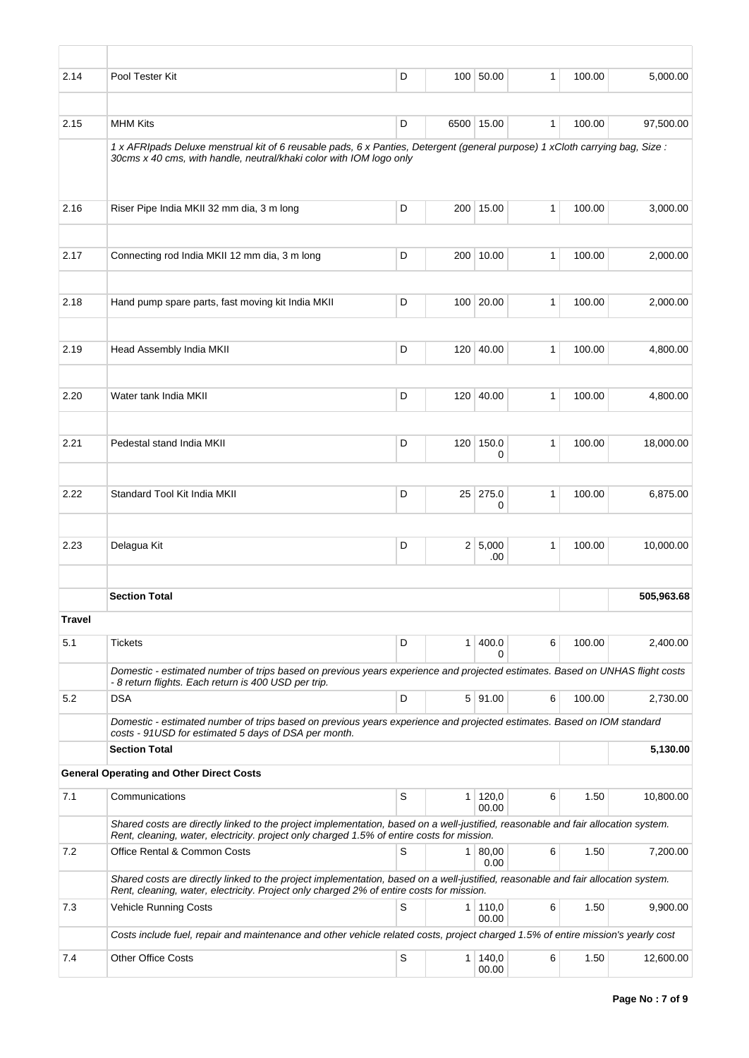| 2.14          | Pool Tester Kit                                                                                                                                                                                                                 | D |                | 100 50.00               | $\mathbf{1}$ | 100.00 | 5,000.00   |
|---------------|---------------------------------------------------------------------------------------------------------------------------------------------------------------------------------------------------------------------------------|---|----------------|-------------------------|--------------|--------|------------|
|               |                                                                                                                                                                                                                                 |   |                |                         |              |        |            |
| 2.15          | <b>MHM Kits</b>                                                                                                                                                                                                                 | D |                | 6500 15.00              | $\mathbf{1}$ | 100.00 | 97,500.00  |
|               | 1 x AFRIpads Deluxe menstrual kit of 6 reusable pads, 6 x Panties, Detergent (general purpose) 1 xCloth carrying bag, Size :<br>30cms x 40 cms, with handle, neutral/khaki color with IOM logo only                             |   |                |                         |              |        |            |
| 2.16          | Riser Pipe India MKII 32 mm dia, 3 m long                                                                                                                                                                                       | D |                | 200 15.00               | 1            | 100.00 | 3.000.00   |
| 2.17          | Connecting rod India MKII 12 mm dia, 3 m long                                                                                                                                                                                   | D |                | 200 10.00               | 1            | 100.00 | 2,000.00   |
| 2.18          | Hand pump spare parts, fast moving kit India MKII                                                                                                                                                                               | D |                | 100 20.00               | 1            | 100.00 | 2,000.00   |
| 2.19          | Head Assembly India MKII                                                                                                                                                                                                        | D |                | 120 40.00               | 1            | 100.00 | 4,800.00   |
|               |                                                                                                                                                                                                                                 |   |                |                         |              |        |            |
| 2.20          | Water tank India MKII                                                                                                                                                                                                           | D |                | 120 40.00               | 1            | 100.00 | 4,800.00   |
| 2.21          | Pedestal stand India MKII                                                                                                                                                                                                       | D | 120            | 150.0<br>0              | $\mathbf{1}$ | 100.00 | 18,000.00  |
| 2.22          | Standard Tool Kit India MKII                                                                                                                                                                                                    | D | 25             | 275.0<br>0              | 1            | 100.00 | 6,875.00   |
| 2.23          | Delagua Kit                                                                                                                                                                                                                     | D |                | 2 5,000                 | $\mathbf{1}$ | 100.00 | 10,000.00  |
|               |                                                                                                                                                                                                                                 |   |                | .00                     |              |        |            |
|               | <b>Section Total</b>                                                                                                                                                                                                            |   |                |                         |              |        | 505,963.68 |
| <b>Travel</b> |                                                                                                                                                                                                                                 |   |                |                         |              |        |            |
| 5.1           | <b>Tickets</b>                                                                                                                                                                                                                  | D | 1 <sup>1</sup> | 400.0<br>0              | 6            | 100.00 | 2,400.00   |
|               | Domestic - estimated number of trips based on previous years experience and projected estimates. Based on UNHAS flight costs<br>- 8 return flights. Each return is 400 USD per trip.                                            |   |                |                         |              |        |            |
| 5.2           | <b>DSA</b>                                                                                                                                                                                                                      | D |                | $5$ 91.00               | 6            | 100.00 | 2,730.00   |
|               | Domestic - estimated number of trips based on previous years experience and projected estimates. Based on IOM standard<br>costs - 91USD for estimated 5 days of DSA per month.                                                  |   |                |                         |              |        |            |
|               | <b>Section Total</b>                                                                                                                                                                                                            |   |                |                         |              |        | 5,130.00   |
|               | <b>General Operating and Other Direct Costs</b>                                                                                                                                                                                 |   |                |                         |              |        |            |
| 7.1           | Communications                                                                                                                                                                                                                  | S | 1 <sup>1</sup> | 120,0<br>00.00          | 6            | 1.50   | 10,800.00  |
|               | Shared costs are directly linked to the project implementation, based on a well-justified, reasonable and fair allocation system.<br>Rent, cleaning, water, electricity. project only charged 1.5% of entire costs for mission. |   |                |                         |              |        |            |
| 7.2           | Office Rental & Common Costs                                                                                                                                                                                                    | S | 1 <sup>1</sup> | 80,00<br>0.00           | 6            | 1.50   | 7,200.00   |
|               | Shared costs are directly linked to the project implementation, based on a well-justified, reasonable and fair allocation system.<br>Rent, cleaning, water, electricity. Project only charged 2% of entire costs for mission.   |   |                |                         |              |        |            |
| 7.3           | Vehicle Running Costs                                                                                                                                                                                                           | S |                | $1 \mid 110,0$<br>00.00 | 6            | 1.50   | 9,900.00   |
|               | Costs include fuel, repair and maintenance and other vehicle related costs, project charged 1.5% of entire mission's yearly cost                                                                                                |   |                |                         |              |        |            |
| 7.4           | <b>Other Office Costs</b>                                                                                                                                                                                                       | S |                | $1 \mid 140,0$<br>00.00 | 6            | 1.50   | 12,600.00  |